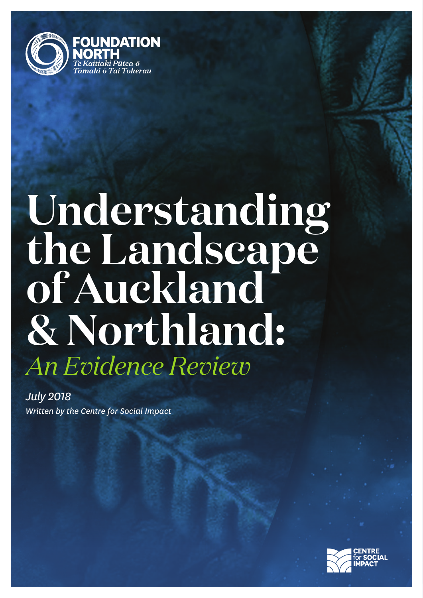

# **Understanding the Landscape of Auckland & Northland:** *An Evidence Review*

*Written by the Centre for Social Impact July 2018*

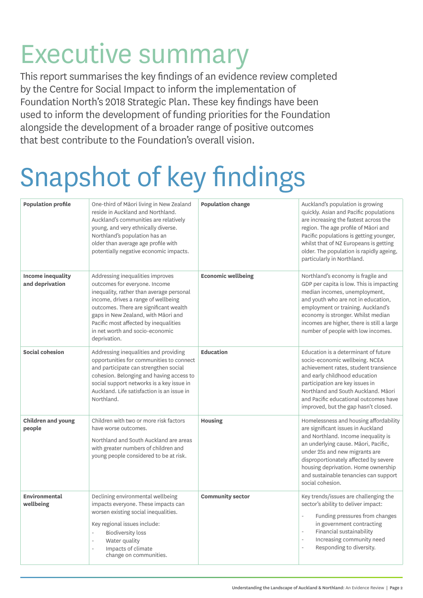## Executive summary

This report summarises the key findings of an evidence review completed by the Centre for Social Impact to inform the implementation of Foundation North's 2018 Strategic Plan. These key findings have been used to inform the development of funding priorities for the Foundation alongside the development of a broader range of positive outcomes that best contribute to the Foundation's overall vision.

# Snapshot of key findings

| <b>Population profile</b>                   | One-third of Māori living in New Zealand<br>reside in Auckland and Northland.<br>Auckland's communities are relatively<br>young, and very ethnically diverse.<br>Northland's population has an<br>older than average age profile with<br>potentially negative economic impacts.                                                   | <b>Population change</b>  | Auckland's population is growing<br>quickly. Asian and Pacific populations<br>are increasing the fastest across the<br>region. The age profile of Māori and<br>Pacific populations is getting younger,<br>whilst that of NZ Europeans is getting<br>older. The population is rapidly ageing,<br>particularly in Northland.                 |
|---------------------------------------------|-----------------------------------------------------------------------------------------------------------------------------------------------------------------------------------------------------------------------------------------------------------------------------------------------------------------------------------|---------------------------|--------------------------------------------------------------------------------------------------------------------------------------------------------------------------------------------------------------------------------------------------------------------------------------------------------------------------------------------|
| <b>Income inequality</b><br>and deprivation | Addressing inequalities improves<br>outcomes for everyone. Income<br>inequality, rather than average personal<br>income, drives a range of wellbeing<br>outcomes. There are significant wealth<br>gaps in New Zealand, with Māori and<br>Pacific most affected by inequalities<br>in net worth and socio-economic<br>deprivation. | <b>Economic wellbeing</b> | Northland's economy is fragile and<br>GDP per capita is low. This is impacting<br>median incomes, unemployment,<br>and youth who are not in education,<br>employment or training. Auckland's<br>economy is stronger. Whilst median<br>incomes are higher, there is still a large<br>number of people with low incomes.                     |
| Social cohesion                             | Addressing inequalities and providing<br>opportunities for communities to connect<br>and participate can strengthen social<br>cohesion. Belonging and having access to<br>social support networks is a key issue in<br>Auckland. Life satisfaction is an issue in<br>Northland.                                                   | <b>Education</b>          | Education is a determinant of future<br>socio-economic wellbeing. NCEA<br>achievement rates, student transience<br>and early childhood education<br>participation are key issues in<br>Northland and South Auckland. Māori<br>and Pacific educational outcomes have<br>improved, but the gap hasn't closed.                                |
| <b>Children and young</b><br>people         | Children with two or more risk factors<br>have worse outcomes.<br>Northland and South Auckland are areas<br>with greater numbers of children and<br>young people considered to be at risk.                                                                                                                                        | <b>Housing</b>            | Homelessness and housing affordability<br>are significant issues in Auckland<br>and Northland. Income inequality is<br>an underlying cause. Māori, Pacific,<br>under 25s and new migrants are<br>disproportionately affected by severe<br>housing deprivation. Home ownership<br>and sustainable tenancies can support<br>social cohesion. |
| Environmental<br>wellbeing                  | Declining environmental wellbeing<br>impacts everyone. These impacts can<br>worsen existing social inequalities.<br>Key regional issues include:<br><b>Biodiversity loss</b><br>Water quality<br>$\sim$<br>Impacts of climate<br>÷,<br>change on communities.                                                                     | <b>Community sector</b>   | Key trends/issues are challenging the<br>sector's ability to deliver impact:<br>Funding pressures from changes<br>$\overline{a}$<br>in government contracting<br>Financial sustainability<br>$\overline{\phantom{a}}$<br>Increasing community need<br>$\bar{\phantom{a}}$<br>Responding to diversity.                                      |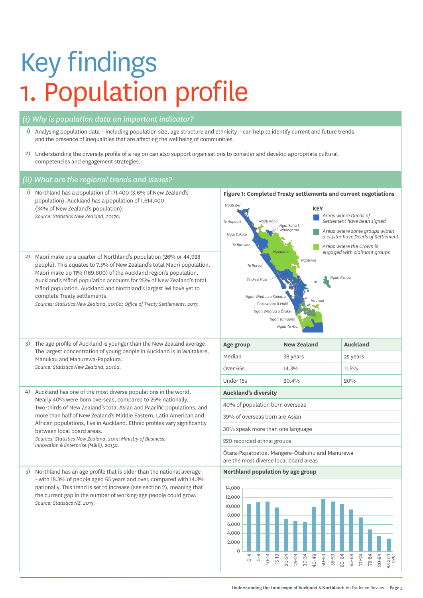## Key findings 1. Population profile

#### *(i) Why is population data an important indicator?*

- 1) Analysing population data including population size, age structure and ethnicity can help to identify current and future trends and the presence of inequalities that are affecting the wellbeing of communities.
- 2) Understanding the diversity profile of a region can also support organisations to consider and develop appropriate cultural<br>Compatencies and appropriate trategies The map below provides an overview of the areas where Treaty settlements have been completed competencies and engagement strategies.

#### *(ii) What are the regional trends and issues?*

**Figure 1: Completed Treaty settlements and current negotiations** OFFICE OF TREATY SETTLEMENTS 5 *Ng<sup>ä</sup><sup>i</sup> Tai*  $-$ *Ngāti Tama Ngāti Mutunga* **Auckland's diversity** *Ngāti Ruanui Ngaa Rauru* 30% speak more than one language *Ngāi Tahu* (Covers balance of *Te Arawa (Affiliates) Moriori Taranaki Whānui ki Te Upoko o Te Ika Tainui Taranaki* 12,000 *ki te Tonga Ngāti Toa Muaūpoko* are the most diverse local board areas *<sup>P</sup>āhauwera Te Atiawa Taranaki Iwi Maru Ngāti Maru* 40% of population born overseas *Ngāruahine Taranaki Maunga* 39% of overseas born are Asian *Wairarapa Tāmaki Nui-ā-Rua Te Whānau <sup>a</sup> Apanui Ngāti Mākino Whakatōhea Rangitāne o* Ōtara-Papatoetoe, Māngere-Ōtāhuhu and Manurewa *Ngāi Tai Maniapoto Tūrangitukua Te Atiawa ki Whakarongotai Raukawa ki te Tonga* **Northland population by age group***Whanganui River* 220 recorded ethnic groups *Ngāti Hineuru Maungaharuru Tangitū Te Aitanga <sup>a</sup> Māhaki groups* 14,000 10,000 8,000 6,000 4,000 2,000  $\overline{0}$ 0-4 5-9 10-14 15-19 20-24 25-29 30-34 40-49 50-54 55-59 60-64 65-69 70-74 75-84 80-84 85 and over *Ngāti Kuri Te Aupouri Ngāi Takoto Te Rarawa Te Roroa Ngāti Whātua o Kaipara Ngāti Whātua o Ōrākei Ngāti Te Ata Te Kawerau ā Maki Ngātiwai Ngāti Rehua Hauraki Ngāti Kahu Ngatikahu ki Whangaroa Ngāpuhim* **KEY** *Areas where Deeds of Settlement have been signed Areas where some groups within a cluster have Deeds of Settlement Areas where the Crown is engaged with claimant groups* 1) Northland has a population of 171,400 (3.6% of New Zealand's population). Auckland has a population of 1,614,400 (34% of New Zealand's population). *Source: Statistics New Zealand, 2017a.* 2) Māori make up a quarter of Northland's population (26% or 44,928 people). This equates to 7.5% of New Zealand's total Māori population. Māori make up 11% (169,800) of the Auckland region's population. Auckland's Māori population accounts for 25% of New Zealand's total Māori population. Auckland and Northland's largest iwi have yet to complete Treaty settlements. *Sources: Statistics New Zealand, 2016a; Office of Treaty Settlements, 2017.* 3) The age profile of Auckland is younger than the New Zealand average. The largest concentration of young people in Auckland is in Waitakere, Manukau and Manurewa-Papakura. *Source: Statistics New Zealand, 2016a.* **Age group COVE AUGUST AND AUGHT AUGHTER** Median 38 years 35 years Over 65s 14.3% Under 15s 20.4% 20.4% 4) Auckland has one of the most diverse populations in the world. Nearly 40% were born overseas, compared to 25% nationally. Two-thirds of New Zealand's total Asian and Paacific populations, and more than half of New Zealand's Middle Eastern, Latin American and African populations, live in Auckland. Ethnic profiles vary significantly between local board areas. *Sources: Statistics New Zealand, 2013; Ministry of Business, Innovation & Enterprise (MBIE), 2015a.* 5) Northland has an age profile that is older than the national average - with 18.3% of people aged 65 years and over, compared with 14.3% nationally. This trend is set to increase (see section 2), meaning that the current gap in the number of working-age people could grow. *Source: Statistics NZ, 2013.*

OTS Quarterly Report, July 2016– June 2017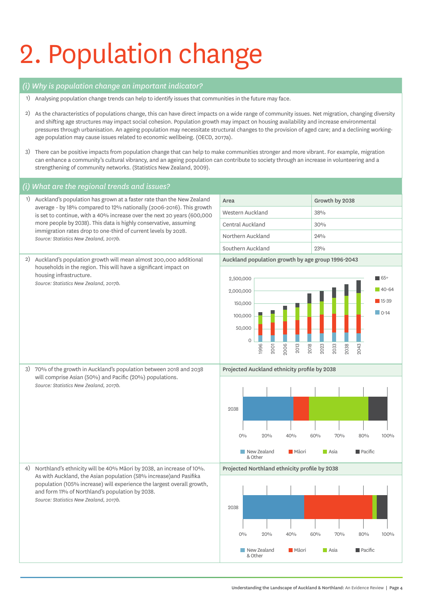# 2. Population change

#### *(i) Why is population change an important indicator?*

- 1) Analysing population change trends can help to identify issues that communities in the future may face.
- 2) As the characteristics of populations change, this can have direct impacts on a wide range of community issues. Net migration, changing diversity and shifting age structures may impact social cohesion. Population growth may impact on housing availability and increase environmental pressures through urbanisation. An ageing population may necessitate structural changes to the provision of aged care; and a declining workingage population may cause issues related to economic wellbeing. (OECD, 2017a).
- 3) There can be positive impacts from population change that can help to make communities stronger and more vibrant. For example, migration can enhance a community's cultural vibrancy, and an ageing population can contribute to society through an increase in volunteering and a strengthening of community networks. (Statistics New Zealand, 2009).

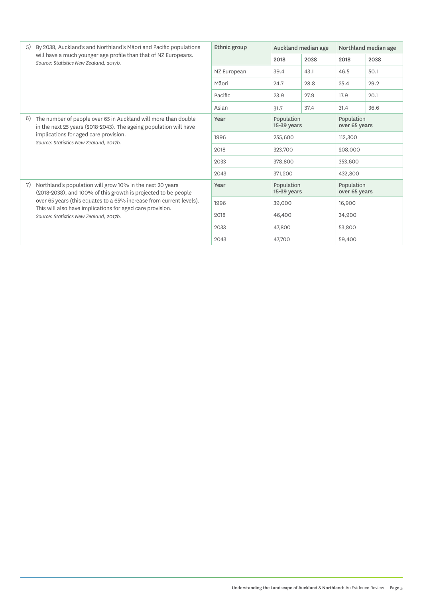| 5) | By 2038, Auckland's and Northland's Māori and Pacific populations                                                                                                                                                      | Ethnic group |                             | Auckland median age | Northland median age        |      |
|----|------------------------------------------------------------------------------------------------------------------------------------------------------------------------------------------------------------------------|--------------|-----------------------------|---------------------|-----------------------------|------|
|    | will have a much younger age profile than that of NZ Europeans.<br>Source: Statistics New Zealand, 2017b.                                                                                                              |              | 2018                        | 2038                | 2018                        | 2038 |
|    |                                                                                                                                                                                                                        | NZ European  | 39.4                        | 43.1                | 46.5                        | 50.1 |
|    |                                                                                                                                                                                                                        | Māori        | 24.7                        | 28.8                | 25.4                        | 29.2 |
|    |                                                                                                                                                                                                                        | Pacific      | 23.9                        | 27.9                | 17.9                        | 20.1 |
|    |                                                                                                                                                                                                                        | Asian        | 31.7                        | 37.4                | 31.4                        | 36.6 |
| 6) | The number of people over 65 in Auckland will more than double<br>in the next 25 years (2018-2043). The ageing population will have<br>implications for aged care provision.<br>Source: Statistics New Zealand, 2017b. | Year         | Population<br>$15-39$ years |                     | Population<br>over 65 years |      |
|    |                                                                                                                                                                                                                        | 1996         | 255,600                     |                     | 112,300                     |      |
|    |                                                                                                                                                                                                                        | 2018         | 323,700                     |                     | 208,000                     |      |
|    |                                                                                                                                                                                                                        | 2033         | 378,800                     |                     | 353,600                     |      |
|    |                                                                                                                                                                                                                        | 2043         | 371,200                     |                     | 432,800                     |      |
| 7) | Northland's population will grow 10% in the next 20 years<br>(2018-2038), and 100% of this growth is projected to be people                                                                                            | Year         | Population<br>$15-39$ years |                     | Population<br>over 65 years |      |
|    | over 65 years (this equates to a 65% increase from current levels).<br>This will also have implications for aged care provision.                                                                                       | 1996         | 39,000                      |                     | 16,900                      |      |
|    | Source: Statistics New Zealand, 2017b.                                                                                                                                                                                 | 2018         | 46,400                      |                     | 34,900                      |      |
|    |                                                                                                                                                                                                                        | 2033         | 47,800                      |                     | 53,800                      |      |
|    |                                                                                                                                                                                                                        | 2043         | 47,700                      |                     | 59,400                      |      |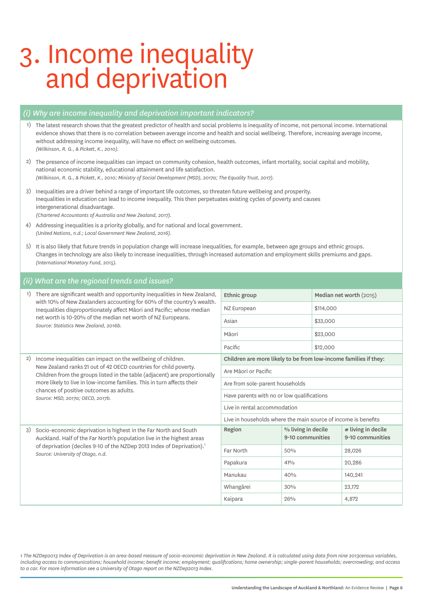# 3. Income inequality and deprivation

#### *(i) Why are income inequality and deprivation important indicators?*

- 1) The latest research shows that the greatest predictor of health and social problems is inequality of income, not personal income. International evidence shows that there is no correlation between average income and health and social wellbeing. Therefore, increasing average income, without addressing income inequality, will have no effect on wellbeing outcomes. *(Wilkinson, R. G., & Pickett, K., 2010).*
- 2) The presence of income inequalities can impact on community cohesion, health outcomes, infant mortality, social capital and mobility, national economic stability, educational attainment and life satisfaction. *(Wilkinson, R. G., & Pickett, K., 2010; Ministry of Social Development (MSD), 2017a; The Equality Trust, 2017).*
- 3) Inequalities are a driver behind a range of important life outcomes, so threaten future wellbeing and prosperity. Inequalities in education can lead to income inequality. This then perpetuates existing cycles of poverty and causes intergenerational disadvantage. *(Chartered Accountants of Australia and New Zealand, 2017).*
- 4) Addressing inequalities is a priority globally, and for national and local government. *(United Nations, n.d.; Local Government New Zealand, 2016).*
- 5) It is also likely that future trends in population change will increase inequalities, for example, between age groups and ethnic groups. Changes in technology are also likely to increase inequalities, through increased automation and employment skills premiums and gaps. *(International Monetary Fund, 2015).*

#### *(ii) What are the regional trends and issues?*

| 1) | There are significant wealth and opportunity inequalities in New Zealand,                                                                                                                                                                                             | Ethnic group                                                     |                                        | Median net worth (2015)                                        |                                        |  |
|----|-----------------------------------------------------------------------------------------------------------------------------------------------------------------------------------------------------------------------------------------------------------------------|------------------------------------------------------------------|----------------------------------------|----------------------------------------------------------------|----------------------------------------|--|
|    | with 10% of New Zealanders accounting for 60% of the country's wealth.<br>Inequalities disproportionately affect Māori and Pacific; whose median                                                                                                                      | NZ European                                                      |                                        | \$114,000                                                      |                                        |  |
|    | net worth is 10-20% of the median net worth of NZ Europeans.<br>Source: Statistics New Zealand, 2016b.                                                                                                                                                                | Asian                                                            |                                        | \$33,000                                                       |                                        |  |
|    |                                                                                                                                                                                                                                                                       | Māori                                                            |                                        | \$23,000                                                       |                                        |  |
|    |                                                                                                                                                                                                                                                                       | Pacific                                                          |                                        | \$12,000                                                       |                                        |  |
| 2) | Income inequalities can impact on the wellbeing of children.                                                                                                                                                                                                          | Children are more likely to be from low-income families if they: |                                        |                                                                |                                        |  |
|    | New Zealand ranks 21 out of 42 OECD countries for child poverty.<br>Children from the groups listed in the table (adjacent) are proportionally                                                                                                                        | Are Māori or Pacific                                             |                                        |                                                                |                                        |  |
|    | more likely to live in low-income families. This in turn affects their<br>chances of positive outcomes as adults.<br>Source: MSD, 2017a; OECD, 2017b.                                                                                                                 | Are from sole-parent households                                  |                                        |                                                                |                                        |  |
|    |                                                                                                                                                                                                                                                                       | Have parents with no or low qualifications                       |                                        |                                                                |                                        |  |
|    |                                                                                                                                                                                                                                                                       | Live in rental accommodation                                     |                                        |                                                                |                                        |  |
|    |                                                                                                                                                                                                                                                                       |                                                                  |                                        | Live in households where the main source of income is benefits |                                        |  |
| 3) | Socio-economic deprivation is highest in the Far North and South<br>Auckland. Half of the Far North's population live in the highest areas<br>of deprivation (deciles 9-10 of the NZDep 2013 Index of Deprivation). <sup>1</sup><br>Source: University of Otago, n.d. | Region                                                           | % living in decile<br>9-10 communities |                                                                | # living in decile<br>9-10 communities |  |
|    |                                                                                                                                                                                                                                                                       | Far North                                                        | 50%                                    |                                                                | 28,026                                 |  |
|    |                                                                                                                                                                                                                                                                       | Papakura                                                         | 41%                                    |                                                                | 20,286                                 |  |
|    |                                                                                                                                                                                                                                                                       | Manukau                                                          | 40%                                    |                                                                | 140,241                                |  |
|    |                                                                                                                                                                                                                                                                       | Whangārei                                                        | 30%                                    |                                                                | 23,172                                 |  |
|    |                                                                                                                                                                                                                                                                       | Kaipara                                                          | 26%                                    |                                                                | 4,872                                  |  |

*1 The NZDep2013 Index of Deprivation is an area-based measure of socio-economic deprivation in New Zealand. It is calculated using data from nine 2013census variables, including access to communications; household income; benefit income; employment; qualifications; home ownership; single-parent households; overcrowding; and access to a car. For more information see a University of Otago report on the NZDep2013 Index.*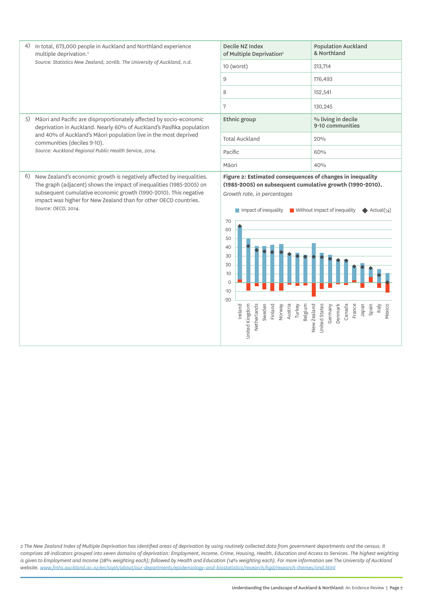*Source: Statistics New Zealand, 2016b. The University of Auckland, n.d.*

5) Māori and Pacific are disproportionately affected by socio-economic deprivation in Auckland. Nearly 60% of Auckland's Pasifika population and 40% of Auckland's Māori population live in the most deprived communities (deciles 9-10).

*Source: Auckland Regional Public Health Service, 2014.*

6) New Zealand's economic growth is negatively affected by inequalities. The graph (adjacent) shows the impact of inequalities (1985-2005) on subsequent cumulative economic growth (1990-2010). This negative impact was higher for New Zealand than for other OECD countries. *Source: OECD, 2014.*

| Decile NZ Index<br>of Multiple Deprivation <sup>2</sup> | <b>Population Auckland</b><br>& Northland |
|---------------------------------------------------------|-------------------------------------------|
| 10 (worst)                                              | 213,714                                   |
| 9                                                       | 176,493                                   |
| 8                                                       | 152,541                                   |
| 7                                                       | 130,245                                   |
| Ethnic group                                            | % living in decile<br>9-10 communities    |
| <b>Total Auckland</b>                                   | 20%                                       |
| Pacific                                                 | 60%                                       |
| Māori                                                   | 40%                                       |

#### **Figure 2: Estimated consequences of changes in inequality (1985-2005) on subsequent cumulative growth (1990-2010).**  *Growth rate, in percentages*



*2 The New Zealand Index of Multiple Deprivation has identified areas of deprivation by using routinely collected data from government departments and the census. It comprises 28 indicators grouped into seven domains of deprivation: Employment, Income, Crime, Housing, Health, Education and Access to Services. The highest weighting*  is given to Employment and Income (28% weighting each); followed by Health and Education (14% weighting each). For more information see The University of Auckland *website. www.fmhs.auckland.ac.nz/en/soph/about/our-departments/epidemiology-and-biostatistics/research/hgd/research-themes/imd.html*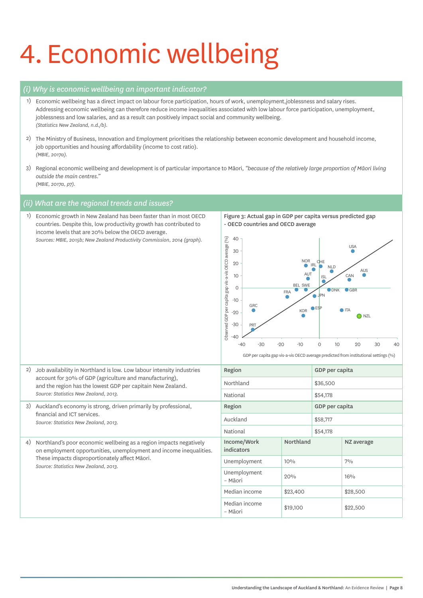# 4. Economic wellbeing

#### *(i) Why is economic wellbeing an important indicator?*

- 1) Economic wellbeing has a direct impact on labour force participation, hours of work, unemployment,joblessness and salary rises. Addressing economic wellbeing can therefore reduce income inequalities associated with low labour force participation, unemployment, joblessness and low salaries, and as a result can positively impact social and community wellbeing. *(Statistics New Zealand, n.d./b).*
- 2) The Ministry of Business, Innovation and Employment prioritises the relationship between economic development and household income, job opportunities and housing affordability (income to cost ratio). *(MBIE, 2017a).*
- 3) Regional economic wellbeing and development is of particular importance to Māori, *"because of the relatively large proportion of Māori living outside the main centres." (MBIE, 2017a, p7).*

#### *(ii) What are the regional trends and issues?*

1) Economic growth in New Zealand has been faster than in most OECD countries. Despite this, low productivity growth has contributed to income levels that are 20% below the OECD average. *Sources: MBIE, 2015b; New Zealand Productivity Commission, 2014 (graph).*

Figure 3: Actual gap in GDP per capita versus predicted gap - OECD countries and OECD average



GDP per capita gap vis-a-vis OECD average predicted from institutional settings (%)

| 2)                          | Job availability in Northland is low. Low labour intensity industries                                                                    | Region                    |           | GDP per capita |            |  |
|-----------------------------|------------------------------------------------------------------------------------------------------------------------------------------|---------------------------|-----------|----------------|------------|--|
|                             | account for 30% of GDP (agriculture and manufacturing),<br>and the region has the lowest GDP per capitain New Zealand.                   | Northland                 |           | \$36,500       |            |  |
|                             | Source: Statistics New Zealand, 2013.                                                                                                    | National                  |           | \$54,178       |            |  |
| 3)                          | Auckland's economy is strong, driven primarily by professional,                                                                          | Region                    |           | GDP per capita |            |  |
| financial and ICT services. | Source: Statistics New Zealand, 2013.                                                                                                    | Auckland                  |           | \$58,717       |            |  |
|                             |                                                                                                                                          | National                  |           | \$54,178       |            |  |
| 4)                          | Northland's poor economic wellbeing as a region impacts negatively<br>on employment opportunities, unemployment and income inequalities. | Income/Work<br>indicators | Northland |                | NZ average |  |
|                             | These impacts disproportionately affect Māori.<br>Source: Statistics New Zealand, 2013.                                                  | Unemployment              | 10%       |                | $7\%$      |  |
|                             |                                                                                                                                          | Unemployment<br>– Māori   | 20%       |                | $16\%$     |  |
|                             |                                                                                                                                          | Median income             | \$23,400  |                | \$28,500   |  |
|                             |                                                                                                                                          | Median income<br>– Māori  | \$19,100  |                | \$22,500   |  |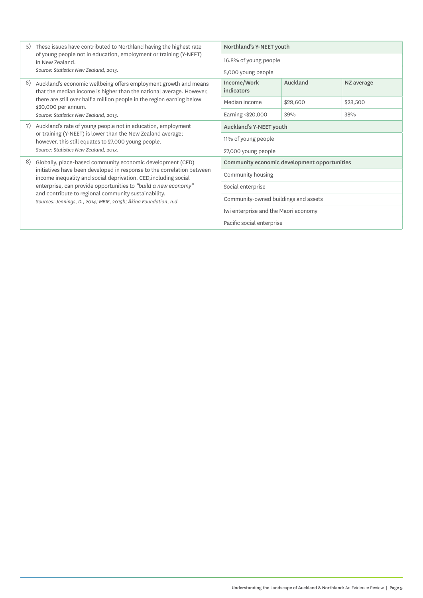| 5)<br>in New Zealand. | These issues have contributed to Northland having the highest rate                                                                                                                                                                                                                 | Northland's Y-NEET youth                     |          |            |  |
|-----------------------|------------------------------------------------------------------------------------------------------------------------------------------------------------------------------------------------------------------------------------------------------------------------------------|----------------------------------------------|----------|------------|--|
|                       | of young people not in education, employment or training (Y-NEET)                                                                                                                                                                                                                  | 16.8% of young people                        |          |            |  |
|                       | Source: Statistics New Zealand, 2013.                                                                                                                                                                                                                                              | 5,000 young people                           |          |            |  |
| 6)                    | Auckland's economic wellbeing offers employment growth and means<br>that the median income is higher than the national average. However,<br>there are still over half a million people in the region earning below<br>\$20,000 per annum.<br>Source: Statistics New Zealand, 2013. | Income/Work<br>indicators                    | Auckland | NZ average |  |
|                       |                                                                                                                                                                                                                                                                                    | Median income                                | \$29,600 | \$28,500   |  |
|                       |                                                                                                                                                                                                                                                                                    | Earning <\$20,000                            | 39%      | 38%        |  |
| 7)                    | Auckland's rate of young people not in education, employment                                                                                                                                                                                                                       | Auckland's Y-NEET youth                      |          |            |  |
|                       | or training (Y-NEET) is lower than the New Zealand average;<br>however, this still equates to 27,000 young people.                                                                                                                                                                 | 11% of young people                          |          |            |  |
|                       | Source: Statistics New Zealand, 2013.                                                                                                                                                                                                                                              | 27,000 young people                          |          |            |  |
| 8)                    | Globally, place-based community economic development (CED)                                                                                                                                                                                                                         | Community economic development opportunities |          |            |  |
|                       | initiatives have been developed in response to the correlation between<br>income inequality and social deprivation. CED, including social                                                                                                                                          | Community housing                            |          |            |  |
|                       | enterprise, can provide opportunities to "build a new economy"                                                                                                                                                                                                                     | Social enterprise                            |          |            |  |
|                       | and contribute to regional community sustainability.<br>Sources: Jennings, D., 2014; MBIE, 2015b; Ākina Foundation, n.d.                                                                                                                                                           | Community-owned buildings and assets         |          |            |  |
|                       |                                                                                                                                                                                                                                                                                    | Iwi enterprise and the Māori economy         |          |            |  |
|                       |                                                                                                                                                                                                                                                                                    | Pacific social enterprise                    |          |            |  |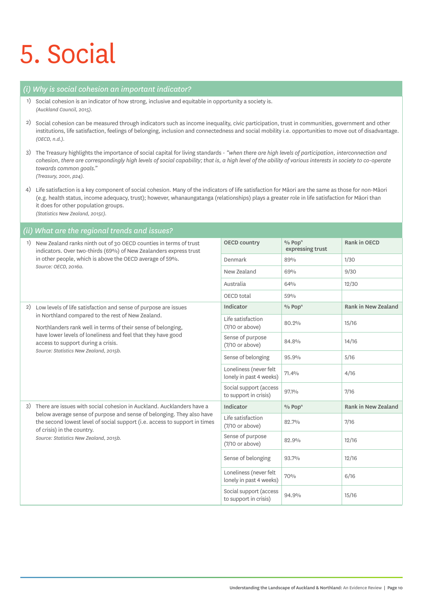## 5. Social

#### *(i) Why is social cohesion an important indicator?*

- 1) Social cohesion is an indicator of how strong, inclusive and equitable in opportunity a society is. *(Auckland Council, 2015).*
- 2) Social cohesion can be measured through indicators such as income inequality, civic participation, trust in communities, government and other institutions, life satisfaction, feelings of belonging, inclusion and connectedness and social mobility i.e. opportunities to move out of disadvantage. *(OECD, n.d.).*
- 3) The Treasury highlights the importance of social capital for living standards *"when there are high levels of participation, interconnection and cohesion, there are correspondingly high levels of social capability; that is, a high level of the ability of various interests in society to co-operate towards common goals." (Treasury, 2001, p24).*
- 4) Life satisfaction is a key component of social cohesion. Many of the indicators of life satisfaction for Māori are the same as those for non-Māori (e.g. health status, income adequacy, trust); however, whanaungatanga (relationships) plays a greater role in life satisfaction for Māori than it does for other population groups.
	- *(Statistics New Zealand, 2015c).*

#### *(ii) What are the regional trends and issues?*

|    | New Zealand ranks ninth out of 30 OECD counties in terms of trust<br>indicators. Over two-thirds (69%) of New Zealanders express trust                                                                                                                                                                                               | <b>OECD country</b>                               | % Pop <sup>n</sup><br>expressing trust | Rank in OECD        |
|----|--------------------------------------------------------------------------------------------------------------------------------------------------------------------------------------------------------------------------------------------------------------------------------------------------------------------------------------|---------------------------------------------------|----------------------------------------|---------------------|
|    | in other people, which is above the OECD average of 59%.                                                                                                                                                                                                                                                                             | Denmark                                           | 89%                                    | 1/30                |
|    | Source: OECD, 2016a.                                                                                                                                                                                                                                                                                                                 | New Zealand                                       | 69%                                    | 9/30                |
|    |                                                                                                                                                                                                                                                                                                                                      | Australia                                         | 64%                                    | 12/30               |
|    |                                                                                                                                                                                                                                                                                                                                      | OECD total                                        | 59%                                    |                     |
| 2) | Low levels of life satisfaction and sense of purpose are issues<br>in Northland compared to the rest of New Zealand.<br>Northlanders rank well in terms of their sense of belonging,<br>have lower levels of loneliness and feel that they have good<br>access to support during a crisis.<br>Source: Statistics New Zealand, 2015b. | Indicator                                         | % Pop <sup>n</sup>                     | Rank in New Zealand |
|    |                                                                                                                                                                                                                                                                                                                                      | Life satisfaction<br>$(7/10$ or above)            | 80.2%                                  | 15/16               |
|    |                                                                                                                                                                                                                                                                                                                                      | Sense of purpose<br>$(7/10$ or above)             | 84.8%                                  | 14/16               |
|    |                                                                                                                                                                                                                                                                                                                                      | Sense of belonging                                | 95.9%                                  | 5/16                |
|    |                                                                                                                                                                                                                                                                                                                                      | Loneliness (never felt<br>lonely in past 4 weeks) | 71.4%                                  | 4/16                |
|    |                                                                                                                                                                                                                                                                                                                                      | Social support (access<br>to support in crisis)   | 97.1%                                  | 7/16                |
| 3) | There are issues with social cohesion in Auckland. Aucklanders have a                                                                                                                                                                                                                                                                | Indicator                                         | % Pop <sup>n</sup>                     | Rank in New Zealand |
|    | below average sense of purpose and sense of belonging. They also have<br>the second lowest level of social support (i.e. access to support in times<br>of crisis) in the country.                                                                                                                                                    | Life satisfaction<br>$(7/10 \text{ or above})$    | 82.7%                                  | 7/16                |
|    | Source: Statistics New Zealand, 2015b.                                                                                                                                                                                                                                                                                               | Sense of purpose<br>$(7/10 \text{ or above})$     | 82.9%                                  | 12/16               |
|    |                                                                                                                                                                                                                                                                                                                                      | Sense of belonging                                | 93.7%                                  | 12/16               |
|    |                                                                                                                                                                                                                                                                                                                                      | Loneliness (never felt<br>lonely in past 4 weeks) | 70%                                    | 6/16                |
|    |                                                                                                                                                                                                                                                                                                                                      | Social support (access<br>to support in crisis)   | 94.9%                                  | 15/16               |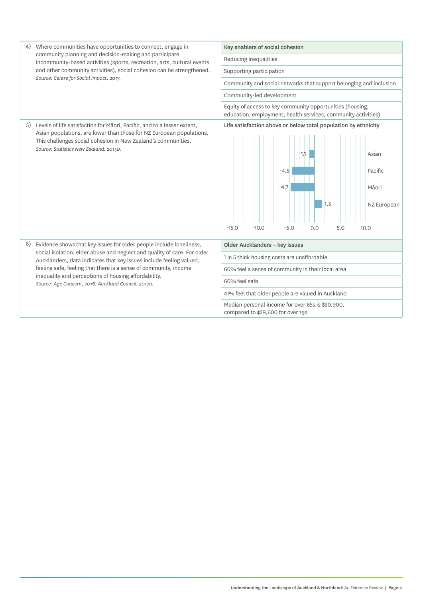| 4) | Where communities have opportunities to connect, engage in                                                                                      | Key enablers of social cohesion                                                                                            |  |  |  |
|----|-------------------------------------------------------------------------------------------------------------------------------------------------|----------------------------------------------------------------------------------------------------------------------------|--|--|--|
|    | community planning and decision-making and participate<br>incommunity-based activities (sports, recreation, arts, cultural events               | Reducing inequalities                                                                                                      |  |  |  |
|    | and other community activities), social cohesion can be strengthened.                                                                           | Supporting participation                                                                                                   |  |  |  |
|    | Source: Centre for Social Impact, 2017.                                                                                                         | Community and social networks that support belonging and inclusion                                                         |  |  |  |
|    |                                                                                                                                                 | Community-led development                                                                                                  |  |  |  |
|    |                                                                                                                                                 | Equity of access to key community opportunities (housing,<br>education, employment, health services, community activities) |  |  |  |
| 5) | Levels of life satisfaction for Māori, Pacific, and to a lesser extent,                                                                         | Life satisfaction above or below total population by ethnicity                                                             |  |  |  |
|    | Asian populations, are lower than those for NZ European populations.<br>This challenges social cohesion in New Zealand's communities.           |                                                                                                                            |  |  |  |
|    | Source: Statistics New Zealand, 2015b.                                                                                                          | $-1.1$<br>Asian                                                                                                            |  |  |  |
|    |                                                                                                                                                 | $-4.5$<br>Pacific                                                                                                          |  |  |  |
|    |                                                                                                                                                 | $-4.7$<br>Māori                                                                                                            |  |  |  |
|    |                                                                                                                                                 |                                                                                                                            |  |  |  |
|    |                                                                                                                                                 | 1.5<br>NZ European                                                                                                         |  |  |  |
|    |                                                                                                                                                 |                                                                                                                            |  |  |  |
|    |                                                                                                                                                 | $-15.0$<br>$-10.0$<br>$-5.0$<br>5.0<br>0.0<br>10.0                                                                         |  |  |  |
| 6) | Evidence shows that key issues for older people include loneliness,                                                                             | Older Aucklanders - key issues                                                                                             |  |  |  |
|    | social isolation, elder abuse and neglect and quality of care. For older<br>Aucklanders, data indicates that key issues include feeling valued, | 1 in 5 think housing costs are unaffordable                                                                                |  |  |  |
|    | feeling safe, feeling that there is a sense of community, income                                                                                | 60% feel a sense of community in their local area                                                                          |  |  |  |
|    | inequality and perceptions of housing affordability.<br>Source: Age Concern, 2016; Auckland Council, 2017a.                                     | 60% feel safe                                                                                                              |  |  |  |
|    |                                                                                                                                                 | 41% feel that older people are valued in Auckland                                                                          |  |  |  |
|    |                                                                                                                                                 | Median personal income for over 65s is \$20,900,<br>compared to \$29,600 for over 15s                                      |  |  |  |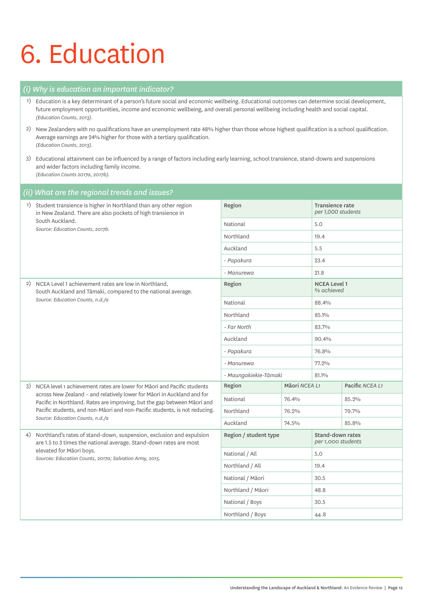# 6. Education

|      | (i) Why is education an important indicator?                                                                                                                                                                                                                                                                  |                       |               |                                        |                 |  |
|------|---------------------------------------------------------------------------------------------------------------------------------------------------------------------------------------------------------------------------------------------------------------------------------------------------------------|-----------------------|---------------|----------------------------------------|-----------------|--|
| 1)   | Education is a key determinant of a person's future social and economic wellbeing. Educational outcomes can determine social development,<br>future employment opportunities, income and economic wellbeing, and overall personal wellbeing including health and social capital.<br>(Education Counts, 2013). |                       |               |                                        |                 |  |
| 2)   | New Zealanders with no qualifications have an unemployment rate 48% higher than those whose highest qualification is a school qualification.<br>Average earnings are 24% higher for those with a tertiary qualification.<br>(Education Counts, 2013).                                                         |                       |               |                                        |                 |  |
| 3)   | Educational attainment can be influenced by a range of factors including early learning, school transience, stand-downs and suspensions<br>and wider factors including family income.<br>(Education Counts 2017a, 2017b).                                                                                     |                       |               |                                        |                 |  |
| (ii) | What are the regional trends and issues?                                                                                                                                                                                                                                                                      |                       |               |                                        |                 |  |
| 1)   | Student transience is higher in Northland than any other region<br>Region<br>Transience rate<br>per 1,000 students<br>in New Zealand. There are also pockets of high transience in                                                                                                                            |                       |               |                                        |                 |  |
|      | South Auckland.<br>Source: Education Counts, 2017b.                                                                                                                                                                                                                                                           | National              |               | 5.0                                    |                 |  |
|      |                                                                                                                                                                                                                                                                                                               | Northland             |               | 19.4                                   |                 |  |
|      |                                                                                                                                                                                                                                                                                                               | Auckland              |               | 5.5                                    |                 |  |
|      |                                                                                                                                                                                                                                                                                                               | - Papakura            |               | 23.4                                   |                 |  |
|      |                                                                                                                                                                                                                                                                                                               | - Manurewa            |               | 21.8                                   |                 |  |
| 2)   | NCEA Level 1 achievement rates are low in Northland,<br>South Auckland and Tāmaki, compared to the national average.                                                                                                                                                                                          | Region                |               | <b>NCEA Level 1</b><br>% achieved      |                 |  |
|      | Source: Education Counts, n.d./a                                                                                                                                                                                                                                                                              | National              |               | 88.4%                                  |                 |  |
|      |                                                                                                                                                                                                                                                                                                               | Northland             |               | 85.1%                                  |                 |  |
|      |                                                                                                                                                                                                                                                                                                               | - Far North           |               | 83.7%                                  |                 |  |
|      |                                                                                                                                                                                                                                                                                                               | Auckland              |               | 90.4%                                  |                 |  |
|      |                                                                                                                                                                                                                                                                                                               | - Papakura            |               | 76.8%                                  |                 |  |
|      |                                                                                                                                                                                                                                                                                                               | - Manurewa            |               | 77.2%                                  |                 |  |
|      |                                                                                                                                                                                                                                                                                                               | - Maungakiekie-Tāmaki |               | 81.1%                                  |                 |  |
| 3)   | NCEA level 1 achievement rates are lower for Māori and Pacific students<br>across New Zealand - and relatively lower for Māori in Auckland and for                                                                                                                                                            | Region                | Māori NCEA L1 |                                        | Pacific NCEA L1 |  |
|      | Pacific in Northland. Rates are improving, but the gap between Māori and                                                                                                                                                                                                                                      | National              | 76.4%         |                                        | 85.2%           |  |
|      | Pacific students, and non-Māori and non-Pacific students, is not reducing.<br>Source: Education Counts, n.d./a                                                                                                                                                                                                | Northland             | 76.2%         |                                        | 79.7%           |  |
|      |                                                                                                                                                                                                                                                                                                               | Auckland              | 74.5%         |                                        | 85.8%           |  |
| 4)   | Northland's rates of stand-down, suspension, exclusion and expulsion<br>are 1.5 to 3 times the national average. Stand-down rates are most                                                                                                                                                                    | Region / student type |               | Stand-down rates<br>per 1,000 students |                 |  |
|      | elevated for Māori boys.<br>Sources: Education Counts, 2017a; Salvation Army, 2015.                                                                                                                                                                                                                           | National / All        |               | 5.0                                    |                 |  |
|      |                                                                                                                                                                                                                                                                                                               | Northland / All       |               | 19.4                                   |                 |  |
|      |                                                                                                                                                                                                                                                                                                               | National / Māori      |               | 30.5                                   |                 |  |
|      |                                                                                                                                                                                                                                                                                                               | Northland / Māori     |               | 48.8                                   |                 |  |
|      |                                                                                                                                                                                                                                                                                                               | National / Boys       |               | 30.5                                   |                 |  |
|      |                                                                                                                                                                                                                                                                                                               | Northland / Boys      |               | 44.8                                   |                 |  |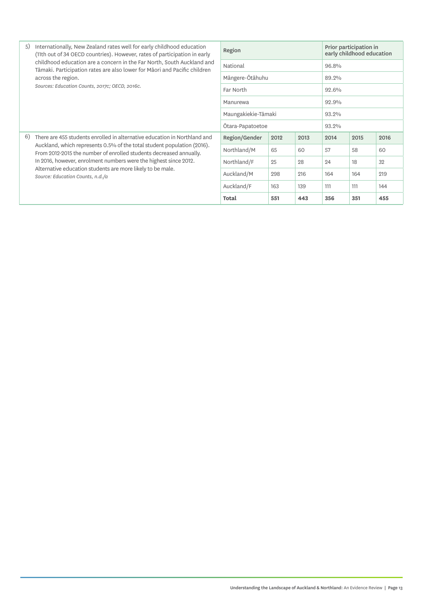| 5) | Internationally, New Zealand rates well for early childhood education<br>(11th out of 34 OECD countries). However, rates of participation in early                                                                         | Region              |      |       |       | Prior participation in<br>early childhood education |      |
|----|----------------------------------------------------------------------------------------------------------------------------------------------------------------------------------------------------------------------------|---------------------|------|-------|-------|-----------------------------------------------------|------|
|    | childhood education are a concern in the Far North, South Auckland and<br>Tāmaki. Participation rates are also lower for Māori and Pacific children                                                                        | National            |      |       | 96.8% |                                                     |      |
|    | across the region.                                                                                                                                                                                                         | Mängere-Ötähuhu     |      |       | 89.2% |                                                     |      |
|    | Sources: Education Counts, 2017c; OECD, 2016c.                                                                                                                                                                             | Far North           |      |       | 92.6% |                                                     |      |
|    |                                                                                                                                                                                                                            | Manurewa            |      |       | 92.9% |                                                     |      |
|    |                                                                                                                                                                                                                            | Maungakiekie-Tāmaki |      | 93.2% |       |                                                     |      |
|    |                                                                                                                                                                                                                            | Otara-Papatoetoe    |      |       | 93.2% |                                                     |      |
| 6) | There are 455 students enrolled in alternative education in Northland and<br>Auckland, which represents 0.5% of the total student population (2016).<br>From 2012-2015 the number of enrolled students decreased annually. | Region/Gender       | 2012 | 2013  | 2014  | 2015                                                | 2016 |
|    |                                                                                                                                                                                                                            | Northland/M         | 65   | 60    | 57    | 58                                                  | 60   |
|    | In 2016, however, enrolment numbers were the highest since 2012.                                                                                                                                                           | Northland/F         | 25   | 28    | 24    | 18                                                  | 32   |
|    | Alternative education students are more likely to be male.<br>Source: Education Counts, n.d./a                                                                                                                             | Auckland/M          | 298  | 216   | 164   | 164                                                 | 219  |
|    |                                                                                                                                                                                                                            | Auckland/F          | 163  | 139   | 111   | 111                                                 | 144  |
|    |                                                                                                                                                                                                                            | <b>Total</b>        | 551  | 443   | 356   | 351                                                 | 455  |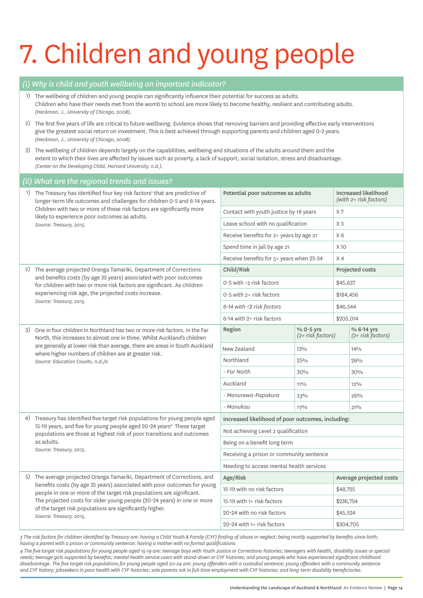# 7. Children and young people

#### *(i) Why is child and youth wellbeing an important indicator?*

- 1) The wellbeing of children and young people can significantly influence their potential for success as adults. Children who have their needs met from the womb to school are more likely to become healthy, resilient and contributing adults. *(Heckman, J., University of Chicago, 2008).*
- 2) The first five years of life are critical to future wellbeing. Evidence shows that removing barriers and providing effective early interventions give the greatest social return on investment. This is best achieved through supporting parents and children aged 0-3 years. *(Heckman, J., University of Chicago, 2008).*
- 3) The wellbeing of children depends largely on the capabilities, wellbeing and situations of the adults around them and the extent to which their lives are affected by issues such as poverty, a lack of support, social isolation, stress and disadvantage. *(Center on the Developing Child, Harvard University, n.d.).*

#### *(ii) What are the regional trends and issues?* 1) The Treasury has identified four key risk factors<sup>3</sup> that are predictive of longer-term life outcomes and challenges for children 0-5 and 6-14 years. Children with two or more of these risk factors are significantly more likely to experience poor outcomes as adults. *Source: Treasury, 2015.* Potential poor outcomes as adults Increased likelihood *(with 2+ risk factors)* Contact with youth justice by 18 years  $X7$ Leave school with no qualification  $X_3$ Receive benefits for  $2+$  years by age  $21$  X 6 Spend time in jail by age 21 X 10 Receive benefits for  $5+$  years when 25-34  $\times$  4 2) The average projected Oranga Tamariki, Department of Corrections and benefits costs (by age 35 years) associated with poor outcomes for children with two or more risk factors are significant. As children experiencing risk age, the projected costs increase. *Source: Treasury, 2015.* Child/Risk Projected costs 0-5 with  $\langle 2 \rangle$  risk factors  $\Big|$  \$45,637  $0-5$  with  $2+$  risk factors  $$184.456$ *6-14 with <2 risk factors* \$46,544  $6-14$  with  $2+$  risk factors  $$205,014$ 3) One in four children in Northland has two or more risk factors. In the Far North, this increases to almost one in three. Whilst Auckland's children are generally at lower risk than average, there are areas in South Auckland where higher numbers of children are at greater risk. *Source: Education Counts, n.d./a* Region  $\frac{1}{2}$   $\frac{1}{2}$   $\frac{1}{2}$   $\frac{1}{2}$   $\frac{1}{2}$   $\frac{1}{2}$   $\frac{1}{2}$   $\frac{1}{2}$   $\frac{1}{2}$   $\frac{1}{2}$   $\frac{1}{2}$   $\frac{1}{2}$   $\frac{1}{2}$   $\frac{1}{2}$   $\frac{1}{2}$   $\frac{1}{2}$   $\frac{1}{2}$   $\frac{1}{2}$   $\frac{1}{2}$   $\frac{1}{2}$   $\frac{1}{2}$   $\frac{$ *(2+ risk factors)* % 6-14 yrs *(2+ risk factors)* New Zealand  $13\%$  13% 14% Northland 25% 26% *- Far North* 30% 30% Auckland  $11\frac{1}{10}$  11% 12% *- Manurewa-Papakura* 23% 26% *- Manukau* 17% 21% 4) Treasury has identified five target risk populations for young people aged 15-19 years, and five for young people aged 20-24 years<sup>4.</sup> These target populations are those at highest risk of poor transitions and outcomes as adults. *Source: Treasury, 2015.* Increased likelihood of poor outcomes, including: Not achieving Level 2 qualification Being on a benefit long term Receiving a prison or community sentence Needing to access mental health services 5) The average projected Oranga Tamariki, Department of Corrections, and benefits costs (by age 35 years) associated with poor outcomes for young people in one or more of the target risk populations are significant. The projected costs for older young people (20-24 years) in one or more of the target risk populations are significantly higher. *Source: Treasury, 2015.* Age/Risk Age/Risk Average projected costs 15-19 with no risk factors **\$48,725**  $15-19$  with  $1+$  risk factors  $\frac{1}{2}$  \$236,754 20-24 with no risk factors \$45,524 20-24 with 1+ risk factors \$304,705

*3 The risk factors for children identified by Treasury are: having a Child Youth & Family (CYF) finding of abuse or neglect; being mostly supported by benefits since birth; having a parent with a prison or community sentence; having a mother with no formal qualifications* 

*4 The five target risk populations for young people aged 15-19 are: teenage boys with Youth Justice or Corrections histories; teenagers with health, disability issues or special needs; teenage girls supported by benefits; mental health service users with stand-down or CYF histories; and young people who have experienced significant childhood*  disadvantage. The five target risk populations for young people aged 20-24 are: young offenders with a custodial sentence; young offenders with a community sentence *and CYF history; jobseekers in poor health with CYF histories; sole parents not in full-time employment with CYF histories; and long-term disability beneficiaries.*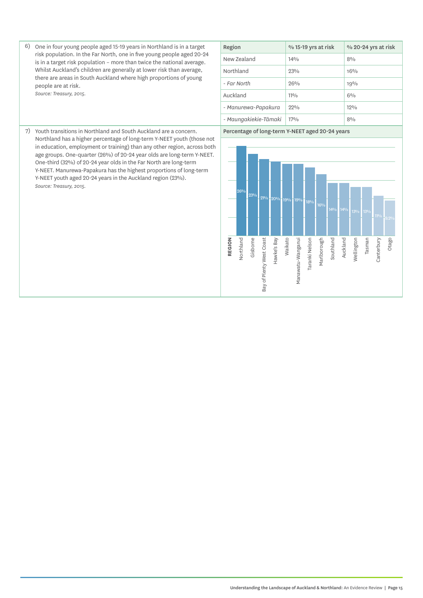6) One in four young people aged 15-19 years in Northland is in a target risk population. In the Far North, one in five young people aged 20-24 is in a target risk population – more than twice the national average. Whilst Auckland's children are generally at lower risk than average, there are areas in South Auckland where high proportions of young people are at risk. *Source: Treasury, 2015.*

| Region                | % 15-19 yrs at risk | % 20-24 yrs at risk |
|-----------------------|---------------------|---------------------|
| New Zealand           | 14%                 | 8%                  |
| Northland             | 23%                 | $16\%$              |
| - Far North           | 26%                 | 19%                 |
| Auckland              | 110/6               | $6\%$               |
| - Manurewa-Papakura   | 99%                 | 19%                 |
| - Maungakiekie-Tāmaki | $17\%$              | 8%                  |

7) Youth transitions in Northland and South Auckland are a concern. Northland has a higher percentage of long-term Y-NEET youth (those not in education, employment or training) than any other region, across both age groups. One-quarter (26%) of 20-24 year olds are long-term Y-NEET. One-third (32%) of 20-24 year olds in the Far North are long-term Y-NEET. Manurewa-Papakura has the highest proportions of long-term Y-NEET youth aged 20-24 years in the Auckland region (23%). *Source: Treasury, 2015.*

Percentage of long-term Y-NEET aged 20-24 years

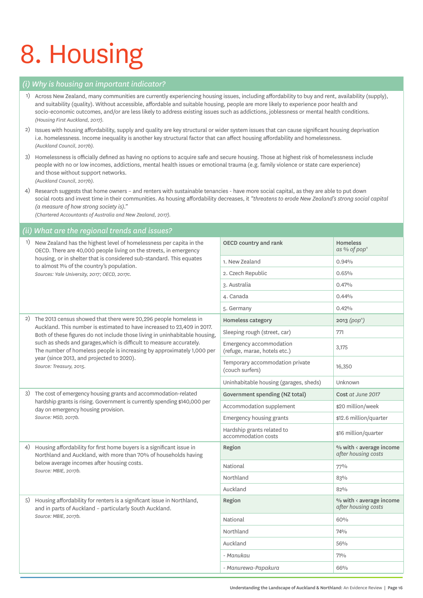# 8. Housing

#### *(i) Why is housing an important indicator?*

- 1) Across New Zealand, many communities are currently experiencing housing issues, including affordability to buy and rent, availability (supply), and suitability (quality). Without accessible, affordable and suitable housing, people are more likely to experience poor health and socio-economic outcomes, and/or are less likely to address existing issues such as addictions, joblessness or mental health conditions. *(Housing First Auckland, 2017).*
- 2) Issues with housing affordability, supply and quality are key structural or wider system issues that can cause significant housing deprivation i.e. homelessness. Income inequality is another key structural factor that can affect housing affordability and homelessness. *(Auckland Council, 2017b).*
- 3) Homelessness is officially defined as having no options to acquire safe and secure housing. Those at highest risk of homelessness include people with no or low incomes, addictions, mental health issues or emotional trauma (e.g. family violence or state care experience) and those without support networks.

*(Auckland Council, 2017b).*

4) Research suggests that home owners – and renters with sustainable tenancies - have more social capital, as they are able to put down social roots and invest time in their communities. As housing affordability decreases, it *"threatens to erode New Zealand's strong social capital (a measure of how strong society is)."* 

*(Chartered Accountants of Australia and New Zealand, 2017).*

#### *(ii) What are the regional trends and issues?*

| 1) | New Zealand has the highest level of homelessness per capita in the<br>OECD. There are 40,000 people living on the streets, in emergency                                                                               | OECD country and rank                                   | <b>Homeless</b><br>as % of pop <sup>n</sup>    |
|----|------------------------------------------------------------------------------------------------------------------------------------------------------------------------------------------------------------------------|---------------------------------------------------------|------------------------------------------------|
|    | housing, or in shelter that is considered sub-standard. This equates<br>to almost 1% of the country's population.                                                                                                      | 1. New Zealand                                          | 0.94%                                          |
|    | Sources: Yale University, 2017; OECD, 2017c.                                                                                                                                                                           | 2. Czech Republic                                       | 0.65%                                          |
|    |                                                                                                                                                                                                                        | 3. Australia                                            | 0.47%                                          |
|    |                                                                                                                                                                                                                        | 4. Canada                                               | 0.44%                                          |
|    |                                                                                                                                                                                                                        | 5. Germany                                              | 0.42%                                          |
|    | 2) The 2013 census showed that there were 20,296 people homeless in                                                                                                                                                    | Homeless category                                       | 2013 (pop <sup>n</sup> )                       |
|    | Auckland. This number is estimated to have increased to 23,409 in 2017.<br>Both of these figures do not include those living in uninhabitable housing,                                                                 | Sleeping rough (street, car)                            | 771                                            |
|    | such as sheds and garages, which is difficult to measure accurately.<br>The number of homeless people is increasing by approximately 1,000 per<br>year (since 2013, and projected to 2020).<br>Source: Treasury, 2015. | Emergency accommodation<br>(refuge, marae, hotels etc.) | 3,175                                          |
|    |                                                                                                                                                                                                                        | Temporary accommodation private<br>(couch surfers)      | 16,350                                         |
|    |                                                                                                                                                                                                                        | Uninhabitable housing (garages, sheds)                  | Unknown                                        |
|    | 3) The cost of emergency housing grants and accommodation-related<br>hardship grants is rising. Government is currently spending \$140,000 per<br>day on emergency housing provision.<br>Source: MSD, 2017b.           | Government spending (NZ total)                          | Cost at June 2017                              |
|    |                                                                                                                                                                                                                        | Accommodation supplement                                | \$20 million/week                              |
|    |                                                                                                                                                                                                                        | Emergency housing grants                                | \$12.6 million/quarter                         |
|    |                                                                                                                                                                                                                        | Hardship grants related to<br>accommodation costs       | \$16 million/quarter                           |
| 4) | Housing affordability for first home buyers is a significant issue in<br>Northland and Auckland, with more than 70% of households having                                                                               | Region                                                  | % with < average income<br>after housing costs |
|    | below average incomes after housing costs.<br>Source: MBIE, 2017b.                                                                                                                                                     | National                                                | $77\%$                                         |
|    |                                                                                                                                                                                                                        | Northland                                               | 83%                                            |
|    |                                                                                                                                                                                                                        | Auckland                                                | 82%                                            |
| 5) | Housing affordability for renters is a significant issue in Northland,<br>and in parts of Auckland - particularly South Auckland.                                                                                      | Region                                                  | % with < average income<br>after housing costs |
|    | Source: MBIE, 2017b.                                                                                                                                                                                                   | National                                                | 60%                                            |
|    |                                                                                                                                                                                                                        | Northland                                               | 74%                                            |
|    |                                                                                                                                                                                                                        | Auckland                                                | 56%                                            |
|    |                                                                                                                                                                                                                        | - Manukau                                               | 71%                                            |
|    |                                                                                                                                                                                                                        | - Manurewa-Papakura                                     | 66%                                            |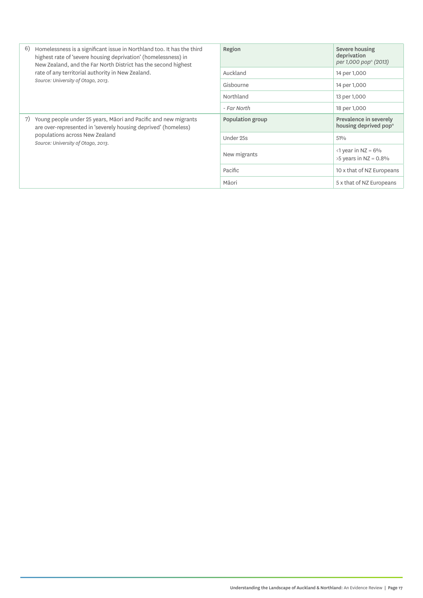| 6)<br>Homelessness is a significant issue in Northland too. It has the third<br>Severe housing<br>Region<br>deprivation<br>highest rate of 'severe housing deprivation' (homelessness) in<br>New Zealand, and the Far North District has the second highest<br>rate of any territorial authority in New Zealand.<br>Auckland<br>14 per 1,000<br>Source: University of Otago, 2013.<br>Gisbourne<br>14 per 1,000<br>Northland<br>13 per 1,000<br>- Far North<br>18 per 1,000<br>Young people under 25 years, Māori and Pacific and new migrants<br>Population group<br>7)<br>are over-represented in 'severely housing deprived' (homeless)<br>populations across New Zealand<br>Under 25s<br>51%<br>Source: University of Otago, 2013.<br>$\langle$ 1 year in NZ = 6%<br>New migrants |  |                                                             |
|---------------------------------------------------------------------------------------------------------------------------------------------------------------------------------------------------------------------------------------------------------------------------------------------------------------------------------------------------------------------------------------------------------------------------------------------------------------------------------------------------------------------------------------------------------------------------------------------------------------------------------------------------------------------------------------------------------------------------------------------------------------------------------------|--|-------------------------------------------------------------|
|                                                                                                                                                                                                                                                                                                                                                                                                                                                                                                                                                                                                                                                                                                                                                                                       |  | per 1,000 pop <sup>n</sup> (2013)                           |
|                                                                                                                                                                                                                                                                                                                                                                                                                                                                                                                                                                                                                                                                                                                                                                                       |  |                                                             |
|                                                                                                                                                                                                                                                                                                                                                                                                                                                                                                                                                                                                                                                                                                                                                                                       |  |                                                             |
|                                                                                                                                                                                                                                                                                                                                                                                                                                                                                                                                                                                                                                                                                                                                                                                       |  |                                                             |
|                                                                                                                                                                                                                                                                                                                                                                                                                                                                                                                                                                                                                                                                                                                                                                                       |  |                                                             |
|                                                                                                                                                                                                                                                                                                                                                                                                                                                                                                                                                                                                                                                                                                                                                                                       |  | Prevalence in severely<br>housing deprived pop <sup>n</sup> |
|                                                                                                                                                                                                                                                                                                                                                                                                                                                                                                                                                                                                                                                                                                                                                                                       |  |                                                             |
|                                                                                                                                                                                                                                                                                                                                                                                                                                                                                                                                                                                                                                                                                                                                                                                       |  | $>5$ years in NZ = 0.8%                                     |
| Pacific                                                                                                                                                                                                                                                                                                                                                                                                                                                                                                                                                                                                                                                                                                                                                                               |  | 10 x that of NZ Europeans                                   |
| Māori                                                                                                                                                                                                                                                                                                                                                                                                                                                                                                                                                                                                                                                                                                                                                                                 |  | 5 x that of NZ Europeans                                    |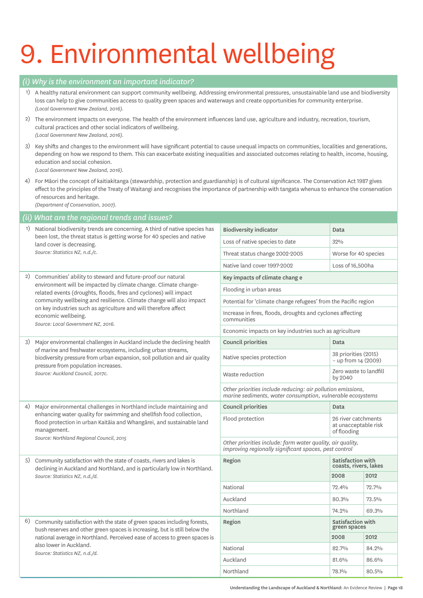# 9. Environmental wellbeing

#### *(i) Why is the environment an important indicator?*

1) A healthy natural environment can support community wellbeing. Addressing environmental pressures, unsustainable land use and biodiversity loss can help to give communities access to quality green spaces and waterways and create opportunities for community enterprise. *(Local Government New Zealand, 2016).*

2) The environment impacts on everyone. The health of the environment influences land use, agriculture and industry, recreation, tourism, cultural practices and other social indicators of wellbeing. *(Local Government New Zealand, 2016).*

3) Key shifts and changes to the environment will have significant potential to cause unequal impacts on communities, localities and generations, depending on how we respond to them. This can exacerbate existing inequalities and associated outcomes relating to health, income, housing, education and social cohesion. *(Local Government New Zealand, 2016).*

4) For Māori the concept of kaitiakitanga (stewardship, protection and guardianship) is of cultural significance. The Conservation Act 1987 gives effect to the principles of the Treaty of Waitangi and recognises the importance of partnership with tangata whenua to enhance the conservation of resources and heritage.

*(Department of Conservation, 2007).*

#### *(ii) What are the regional trends and issues?* 1) National biodiversity trends are concerning. A third of native species has been lost, the threat status is getting worse for 40 species and native land cover is decreasing. *Source: Statistics NZ, n.d./c.* Biodiversity indicator and Data Loss of native species to date 32% Threat status change 2002-2005 Worse for 40 species Native land cover 1997-2002 Loss of 16,500ha 2) Communities' ability to steward and future-proof our natural environment will be impacted by climate change. Climate changerelated events (droughts, floods, fires and cyclones) will impact community wellbeing and resilience. Climate change will also impact on key industries such as agriculture and will therefore affect economic wellbeing. *Source: Local Government NZ, 2016.* Key impacts of climate chang e Flooding in urban areas Potential for 'climate change refugees' from the Pacific region Increase in fires, floods, droughts and cyclones affecting communities Economic impacts on key industries such as agriculture 3) Major environmental challenges in Auckland include the declining health of marine and freshwater ecosystems, including urban streams, biodiversity pressure from urban expansion, soil pollution and air quality pressure from population increases. *Source: Auckland Council, 2017c.* Council priorities and Data Native species protection 38 priorities (2015) – up from 14 (2009) Waste reduction **CERN CONTENT CONSTRUCTS** by 2040 *Other priorities include reducing: air pollution emissions, marine sediments, water consumption, vulnerable ecosystems* 4) Major environmental challenges in Northland include maintaining and enhancing water quality for swimming and shellfish food collection, flood protection in urban Kaitāia and Whangārei, and sustainable land management. *Source: Northland Regional Council, 2015* Council priorities and Data Flood protection 26 river catchments at unacceptable risk of flooding *Other priorities include: farm water quality, air quality, improving regionally significant spaces, pest control* 5) Community satisfaction with the state of coasts, rivers and lakes is declining in Auckland and Northland, and is particularly low in Northland. *Source: Statistics NZ, n.d./d.* Region Satisfaction with Satisfaction with Satisfaction with Satisfaction with Satisfaction with Satisfaction with Satisfaction with Satisfaction with Satisfaction with Satisfaction with Satisfaction with Satisfaction with 2008 2012 National 72.4% 72.7% Auckland 80.3% 73.5% Northland 74.2% 69.3% 6) Community satisfaction with the state of green spaces including forests, bush reserves and other green spaces is increasing, but is still below the national average in Northland. Perceived ease of access to green spaces is also lower in Auckland. *Source: Statistics NZ, n.d./d.* Region Satisfaction with green spaces 2008 2012 National 82.7% 84.2%

Auckland 81.6% 86.6% Northland 78.1% 80.5%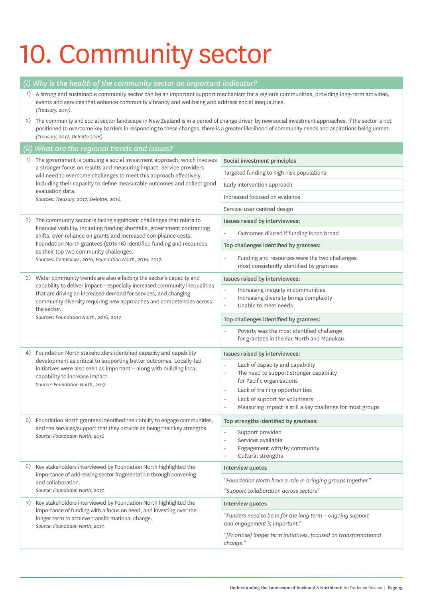# 10. Community sector

| (i)                                                                                                                                 | Why is the health of the community sector an important indicator?                                                                                                                                                                                                                                                                                                                                 |                                                                                                                                                                                                                                          |  |
|-------------------------------------------------------------------------------------------------------------------------------------|---------------------------------------------------------------------------------------------------------------------------------------------------------------------------------------------------------------------------------------------------------------------------------------------------------------------------------------------------------------------------------------------------|------------------------------------------------------------------------------------------------------------------------------------------------------------------------------------------------------------------------------------------|--|
|                                                                                                                                     | 1) A strong and sustainable community sector can be an important support mechanism for a region's communities, providing long-term activities,<br>events and services that enhance community vibrancy and wellbeing and address social inequalities.<br>(Treasury, 2017).                                                                                                                         |                                                                                                                                                                                                                                          |  |
| 2)                                                                                                                                  | The community and social sector landscape in New Zealand is in a period of change driven by new social investment approaches. If the sector is not<br>positioned to overcome key barriers in responding to these changes, there is a greater likelihood of community needs and aspirations being unmet.<br>(Treasury, 2017; Deloitte 2016).                                                       |                                                                                                                                                                                                                                          |  |
| (ii)                                                                                                                                | What are the regional trends and issues?                                                                                                                                                                                                                                                                                                                                                          |                                                                                                                                                                                                                                          |  |
| 1)                                                                                                                                  | The government is pursuing a social investment approach, which involves<br>a stronger focus on results and measuring impact. Service providers<br>will need to overcome challenges to meet this approach effectively,<br>including their capacity to define measurable outcomes and collect good<br>evaluation data.<br>Sources: Treasury, 2017; Deloitte, 2016.                                  | Social investment principles                                                                                                                                                                                                             |  |
|                                                                                                                                     |                                                                                                                                                                                                                                                                                                                                                                                                   | Targeted funding to high-risk populations                                                                                                                                                                                                |  |
|                                                                                                                                     |                                                                                                                                                                                                                                                                                                                                                                                                   | Early intervention approach                                                                                                                                                                                                              |  |
|                                                                                                                                     |                                                                                                                                                                                                                                                                                                                                                                                                   | Increased focused on evidence                                                                                                                                                                                                            |  |
|                                                                                                                                     |                                                                                                                                                                                                                                                                                                                                                                                                   | Service-user centred design                                                                                                                                                                                                              |  |
| 2)                                                                                                                                  | The community sector is facing significant challenges that relate to<br>financial viability, including funding shortfalls, government contracting<br>shifts, over-reliance on grants and increased compliance costs.<br>Foundation North grantees (2015-16) identified funding and resources<br>as their top two community challenges.<br>Sources: ComVoices, 2016; Foundation North, 2016, 2017. | Issues raised by interviewees:                                                                                                                                                                                                           |  |
|                                                                                                                                     |                                                                                                                                                                                                                                                                                                                                                                                                   | Outcomes diluted if funding is too broad                                                                                                                                                                                                 |  |
|                                                                                                                                     |                                                                                                                                                                                                                                                                                                                                                                                                   | Top challenges identified by grantees:                                                                                                                                                                                                   |  |
|                                                                                                                                     |                                                                                                                                                                                                                                                                                                                                                                                                   | Funding and resources were the two challenges<br>most consistently identified by grantees                                                                                                                                                |  |
| 3)                                                                                                                                  | Wider community trends are also affecting the sector's capacity and                                                                                                                                                                                                                                                                                                                               | Issues raised by interviewees:                                                                                                                                                                                                           |  |
| capability to deliver impact - especially increased community inequalities<br>the sector.<br>Sources: Foundation North, 2016, 2017. | that are driving an increased demand for services, and changing<br>community diversity requiring new approaches and competencies across                                                                                                                                                                                                                                                           | Increasing inequity in communities<br>$\overline{\phantom{m}}$<br>Increasing diversity brings complexity<br>÷,<br>Unable to meet needs<br>$\overline{\phantom{a}}$                                                                       |  |
|                                                                                                                                     |                                                                                                                                                                                                                                                                                                                                                                                                   | Top challenges identified by grantees:                                                                                                                                                                                                   |  |
|                                                                                                                                     |                                                                                                                                                                                                                                                                                                                                                                                                   | Poverty was the most identified challenge<br>for grantees in the Far North and Manukau.                                                                                                                                                  |  |
| 4)                                                                                                                                  | Foundation North stakeholders identified capacity and capability<br>development as critical to supporting better outcomes. Locally-led<br>initiatives were also seen as important - along with building local<br>capability to increase impact.<br>Source: Foundation North, 2017.                                                                                                                | Issues raised by interviewees:                                                                                                                                                                                                           |  |
|                                                                                                                                     |                                                                                                                                                                                                                                                                                                                                                                                                   | Lack of capacity and capability<br>The need to support stronger capability<br>for Pacific organisations<br>Lack of training opportunities<br>Lack of support for volunteers<br>Measuring impact is still a key challenge for most groups |  |
| 5)                                                                                                                                  | Foundation North grantees identified their ability to engage communities,<br>and the services/support that they provide as being their key strengths.<br>Source: Foundation North, 2016                                                                                                                                                                                                           | Top strengths identified by grantees:                                                                                                                                                                                                    |  |
|                                                                                                                                     |                                                                                                                                                                                                                                                                                                                                                                                                   | Support provided<br>Services available<br>٠<br>Engagement with/by community<br>$\sim$<br>Cultural strengths<br>$\overline{\phantom{a}}$                                                                                                  |  |
| 6)                                                                                                                                  | Key stakeholders interviewed by Foundation North highlighted the<br>importance of addressing sector fragmentation through convening<br>and collaboration.<br>Source: Foundation North, 2017.                                                                                                                                                                                                      | Interview quotes                                                                                                                                                                                                                         |  |
|                                                                                                                                     |                                                                                                                                                                                                                                                                                                                                                                                                   | "Foundation North have a role in bringing groups together."                                                                                                                                                                              |  |
|                                                                                                                                     |                                                                                                                                                                                                                                                                                                                                                                                                   | "Support collaboration across sectors"                                                                                                                                                                                                   |  |
|                                                                                                                                     | 7) Key stakeholders interviewed by Foundation North highlighted the<br>importance of funding with a focus on need, and investing over the<br>longer term to achieve transformational change.<br>Source: Foundation North, 2017.                                                                                                                                                                   | Interview quotes                                                                                                                                                                                                                         |  |
|                                                                                                                                     |                                                                                                                                                                                                                                                                                                                                                                                                   | "Funders need to be in for the long term - ongoing support<br>and engagement is important."                                                                                                                                              |  |
|                                                                                                                                     |                                                                                                                                                                                                                                                                                                                                                                                                   | "[Prioritise] longer term initiatives, focused on transformational<br>change."                                                                                                                                                           |  |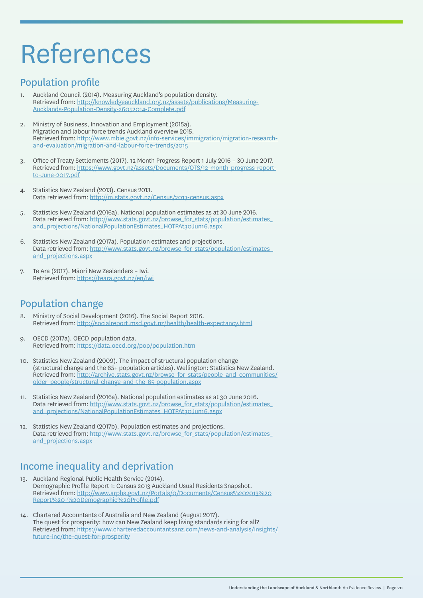### References

### Population profile

- 1. Auckland Council (2014). Measuring Auckland's population density. Retrieved from: http://knowledgeauckland.org.nz/assets/publications/Measuring-Aucklands-Population-Density-26052014-Complete.pdf
- 2. Ministry of Business, Innovation and Employment (2015a). Migration and labour force trends Auckland overview 2015. Retrieved from: http://www.mbie.govt.nz/info-services/immigration/migration-researchand-evaluation/migration-and-labour-force-trends/2015
- 3. Office of Treaty Settlements (2017). 12 Month Progress Report 1 July 2016 30 June 2017. Retrieved from: https://www.govt.nz/assets/Documents/OTS/12-month-progress-reportto-June-2017.pdf
- 4. Statistics New Zealand (2013). Census 2013.<br>Data retrieved from: http://m.stats.govt.nz/Census/2013-census.aspx
- 5. Statistics New Zealand (2016a). National population estimates as at 30 June 2016. Data retrieved from: http://www.stats.govt.nz/browse\_for\_stats/population/estimates\_ and\_projections/NationalPopulationEstimates\_HOTPAt30Jun16.aspx
- 6. Statistics New Zealand (2017a). Population estimates and projections. Data retrieved from: http://www.stats.govt.nz/browse\_for\_stats/population/estimates\_ and\_projections.aspx
- 7. Te Ara (2017). Māori New Zealanders Iwi. Retrieved from: https://teara.govt.nz/en/iwi

### Population change

- 8. Ministry of Social Development (2016). The Social Report 2016. Retrieved from: http://socialreport.msd.govt.nz/health/health-expectancy.html
- 9. OECD (2017a). OECD population data. Retrieved from: https://data.oecd.org/pop/population.htm
- 10. Statistics New Zealand (2009). The impact of structural population change (structural change and the 65+ population articles). Wellington: Statistics New Zealand. Retrieved from: http://archive.stats.govt.nz/browse\_for\_stats/people\_and\_communities/ older\_people/structural-change-and-the-65-population.aspx
- 11. Statistics New Zealand (2016a). National population estimates as at 30 June 2016. Data retrieved from: http://www.stats.govt.nz/browse\_for\_stats/population/estimates\_ and\_projections/NationalPopulationEstimates\_HOTPAt30Jum6.aspx
- 12. Statistics New Zealand (2017b). Population estimates and projections. Data retrieved from: http://www.stats.govt.nz/browse\_for\_stats/population/estimates\_ and\_projections.aspx

### Income inequality and deprivation

- 13. Auckland Regional Public Health Service (2014). Demographic Profile Report 1: Census 2013 Auckland Usual Residents Snapshot. Retrieved from: http://www.arphs.govt.nz/Portals/0/Documents/Census%202013%20 Report%20-%20Demographic%20Profile.pdf
- 14. Chartered Accountants of Australia and New Zealand (August 2017). The quest for prosperity: how can New Zealand keep living standards rising for all? Retrieved from: https://www.charteredaccountantsanz.com/news-and-analysis/insights/ future-inc/the-quest-for-prosperity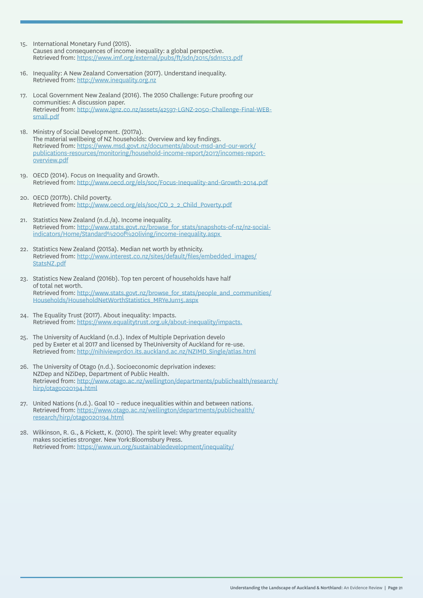- 15. International Monetary Fund (2015). Causes and consequences of income inequality: a global perspective. Retrieved from: https://www.imf.org/external/pubs/ft/sdn/2015/sdn1513.pdf
- 16. Inequality: A New Zealand Conversation (2017). Understand inequality. Retrieved from: http://www.inequality.org.nz
- 17. Local Government New Zealand (2016). The 2050 Challenge: Future proofing our communities: A discussion paper. Retrieved from: http://www.lgnz.co.nz/assets/42597-LGNZ-2050-Challenge-Final-WEBsmall.pdf
- 18. Ministry of Social Development. (2017a). The material wellbeing of NZ households: Overview and key findings. Retrieved from: https://www.msd.govt.nz/documents/about-msd-and-our-work/ publications-resources/monitoring/household-income-report/2017/incomes-reportoverview.pdf
- 19. OECD (2014). Focus on Inequality and Growth. Retrieved from: http://www.oecd.org/els/soc/Focus-Inequality-and-Growth-2014.pdf
- 20. OECD (2017b). Child poverty. Retrieved from: http://www.oecd.org/els/soc/CO\_2\_2\_Child\_Poverty.pdf
- 21. Statistics New Zealand (n.d./a). Income inequality. Retrieved from: http://www.stats.govt.nz/browse\_for\_stats/snapshots-of-nz/nz-socialindicators/Home/Standard%20of%20living/income-inequality.aspx
- 22. Statistics New Zealand (2015a). Median net worth by ethnicity. Retrieved from: http://www.interest.co.nz/sites/default/files/embedded\_images/ StatsNZ.pdf
- 23. Statistics New Zealand (2016b). Top ten percent of households have half of total net worth. Retrieved from: http://www.stats.govt.nz/browse\_for\_stats/people\_and\_communities/ Households/HouseholdNetWorthStatistics\_MRYeJun15.aspx
- 24. The Equality Trust (2017). About inequality: Impacts. Retrieved from: https://www.equalitytrust.org.uk/about-inequality/impacts.
- 25. The University of Auckland (n.d.). Index of Multiple Deprivation develo ped by Exeter et al 2017 and licensed by TheUniversity of Auckland for re-use. Retrieved from: http://nihiviewprd01.its.auckland.ac.nz/NZIMD\_Single/atlas.html
- 26. The University of Otago (n.d.). Socioeconomic deprivation indexes: NZDep and NZiDep, Department of Public Health. Retrieved from: http://www.otago.ac.nz/wellington/departments/publichealth/research/ hirp/otago020194.html
- 27. United Nations (n.d.). Goal 10 reduce inequalities within and between nations. Retrieved from: https://www.otago.ac.nz/wellington/departments/publichealth/ research/hirp/otago020194.html
- 28. Wilkinson, R. G., & Pickett, K. (2010). The spirit level: Why greater equality makes societies stronger. New York:Bloomsbury Press. Retrieved from: https://www.un.org/sustainabledevelopment/inequality/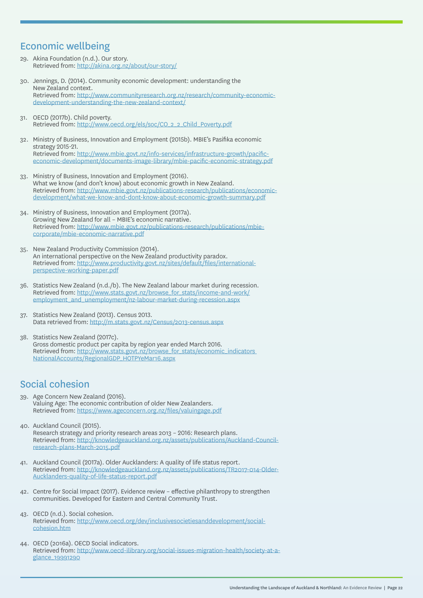### Economic wellbeing

- 29. Akina Foundation (n.d.). Our story. Retrieved from: http://akina.org.nz/about/our-story/
- 30. Jennings, D. (2014). Community economic development: understanding the New Zealand context. Retrieved from: http://www.communityresearch.org.nz/research/community-economicdevelopment-understanding-the-new-zealand-context/
- 31. OECD (2017b). Child poverty. Retrieved from: http://www.oecd.org/els/soc/CO\_2\_2\_Child\_Poverty.pdf
- 32. Ministry of Business, Innovation and Employment (2015b). MBIE's Pasifika economic strategy 2015-21. Retrieved from: http://www.mbie.govt.nz/info-services/infrastructure-growth/pacificeconomic-development/documents-image-library/mbie-pacific-economic-strategy.pdf
- 33. Ministry of Business, Innovation and Employment (2016). What we know (and don't know) about economic growth in New Zealand. Retrieved from: http://www.mbie.govt.nz/publications-research/publications/economicdevelopment/what-we-know-and-dont-know-about-economic-growth-summary.pdf
- 34. Ministry of Business, Innovation and Employment (2017a). Growing New Zealand for all – MBIE's economic narrative. Retrieved from: http://www.mbie.govt.nz/publications-research/publications/mbiecorporate/mbie-economic-narrative.pdf
- 35. New Zealand Productivity Commission (2014). An international perspective on the New Zealand productivity paradox. Retrieved from: http://www.productivity.govt.nz/sites/default/files/internationalperspective-working-paper.pdf
- 36. Statistics New Zealand (n.d./b). The New Zealand labour market during recession. Retrieved from: http://www.stats.govt.nz/browse\_for\_stats/income-and-work/ employment\_and\_unemployment/nz-labour-market-during-recession.aspx
- 37. Statistics New Zealand (2013). Census 2013. Data retrieved from: http://m.stats.govt.nz/Census/2013-census.aspx
- 38. Statistics New Zealand (2017c). Gross domestic product per capita by region year ended March 2016. Retrieved from: http://www.stats.govt.nz/browse\_for\_stats/economic\_indicators\_ NationalAccounts/RegionalGDP\_HOTPYeMar16.aspx

### Social cohesion

- 39. Age Concern New Zealand (2016). Valuing Age: The economic contribution of older New Zealanders. Retrieved from: https://www.ageconcern.org.nz/files/valuingage.pdf
- 40. Auckland Council (2015). Research strategy and priority research areas 2013 – 2016: Research plans. Retrieved from: http://knowledgeauckland.org.nz/assets/publications/Auckland-Councilresearch-plans-March-2015.pdf
- 41. Auckland Council (2017a). Older Aucklanders: A quality of life status report. Retrieved from: http://knowledgeauckland.org.nz/assets/publications/TR2017-014-Older-Aucklanders-quality-of-life-status-report.pdf
- 42. Centre for Social Impact (2017). Evidence review effective philanthropy to strengthen communities. Developed for Eastern and Central Community Trust.
- 43. OECD (n.d.). Social cohesion. Retrieved from: http://www.oecd.org/dev/inclusivesocietiesanddevelopment/socialcohesion.htm
- 44. OECD (2016a). OECD Social indicators. Retrieved from: http://www.oecd-ilibrary.org/social-issues-migration-health/society-at-aglance\_19991290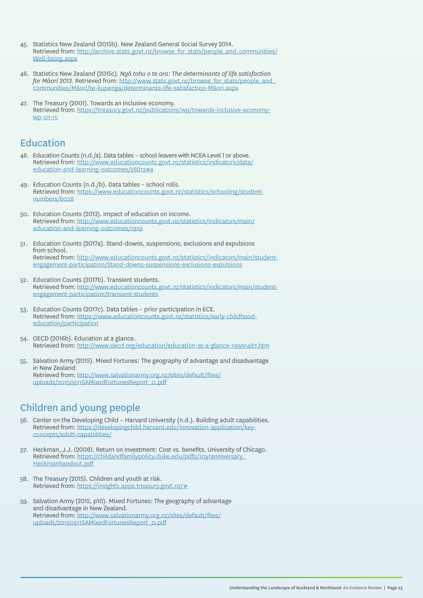- 45. Statistics New Zealand (2015b). New Zealand General Social Survey 2014. Retrieved from: http://archive.stats.govt.nz/browse\_for\_stats/people\_and\_communities/ Well-being.aspx
- 46. Statistics New Zealand (2015c). *Ngā tohu o te ora: The determinants of life satisfaction for Māori 2013.* Retrieved from: http://www.stats.govt.nz/browse\_for\_stats/people\_and\_ communities/Māori/te-kupenga/determinants-life-satisfaction-Māori.aspx
- 47. The Treasury (2001). Towards an inclusive economy. Retrieved from: https://treasury.govt.nz/publications/wp/towards-inclusive-economywp-01-15

### Education

- 48. Education Counts (n.d./a). Data tables school leavers with NCEA Level 1 or above. Retrieved from: http://www.educationcounts.govt.nz/statistics/indicators/data/ education-and-learning-outcomes/28812#4
- 49. Education Counts (n.d./b). Data tables school rolls. Retrieved from: https://www.educationcounts.govt.nz/statistics/schooling/studentnumbers/6028
- 50. Education Counts (2013). Impact of education on income. Retrieved from: http://www.educationcounts.govt.nz/statistics/indicators/main/ education-and-learning-outcomes/1919
- 51. Education Counts (2017a). Stand-downs, suspensions, exclusions and expulsions from school. Retrieved from: http://www.educationcounts.govt.nz/statistics/indicators/main/studentengagement-participation/Stand-downs-suspensions-exclusions-expulsions
- 52. Education Counts (2017b). Transient students. Retrieved from: http://www.educationcounts.govt.nz/statistics/indicators/main/studentengagement-participation/transient-students
- 53. Education Counts (2017c). Data tables prior participation in ECE. Retrieved from: https://www.educationcounts.govt.nz/statistics/early-childhoodeducation/participation
- 54. OECD (2016b). Education at a glance. Retrieved from: http://www.oecd.org/education/education-at-a-glance-19991487.htm
- 55. Salvation Army (2015). Mixed Fortunes: The geography of advantage and disadvantage in New Zealand. Retrieved from: http://www.salvationarmy.org.nz/sites/default/files/ uploads/20150511SAMixedFortunesReport\_0.pdf

### Children and young people

- 56. Center on the Developing Child Harvard University (n.d.). Building adult capabilities. Retrieved from: https://developingchild.harvard.edu/innovation-application/keyconcepts/adult-capabilities/
- 57. Heckman, J.J. (2008). Return on Investment: Cost vs. benefits. University of Chicago. Retrieved from: https://childandfamilypolicy.duke.edu/pdfs/10yranniversary\_ Heckmanhandout.pdf
- 58. The Treasury (2015). Children and youth at risk. Retrieved from: https://insights.apps.treasury.govt.nz/#
- 59. Salvation Army (2015, p10). Mixed Fortunes: The geography of advantage and disadvantage in New Zealand. Retrieved from: http://www.salvationarmy.org.nz/sites/default/files/ uploads/20150511SAMixedFortunesReport\_0.pdf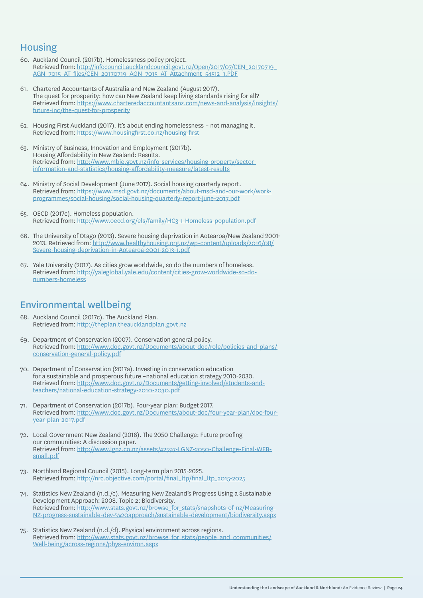### Housing

- 60. Auckland Council (2017b). Homelessness policy project. Retrieved from: http://infocouncil.aucklandcouncil.govt.nz/Open/2017/07/CEN\_20170719\_ AGN\_7015\_AT\_files/CEN\_20170719\_AGN\_7015\_AT\_Attachment\_54512\_1.PDF
- 61. Chartered Accountants of Australia and New Zealand (August 2017). The quest for prosperity: how can New Zealand keep living standards rising for all? Retrieved from: https://www.charteredaccountantsanz.com/news-and-analysis/insights/ future-inc/the-quest-for-prosperity
- 62. Housing First Auckland (2017). It's about ending homelessness not managing it. Retrieved from: https://www.housingfirst.co.nz/housing-first
- 63. Ministry of Business, Innovation and Employment (2017b). Housing Affordability in New Zealand: Results. Retrieved from: http://www.mbie.govt.nz/info-services/housing-property/sectorinformation-and-statistics/housing-affordability-measure/latest-results
- 64. Ministry of Social Development (June 2017). Social housing quarterly report. Retrieved from: https://www.msd.govt.nz/documents/about-msd-and-our-work/workprogrammes/social-housing/social-housing-quarterly-report-june-2017.pdf
- 65. OECD (2017c). Homeless population. Retrieved from: http://www.oecd.org/els/family/HC3-1-Homeless-population.pdf
- 66. The University of Otago (2013). Severe housing deprivation in Aotearoa/New Zealand 2001- 2013. Retrieved from: http://www.healthyhousing.org.nz/wp-content/uploads/2016/08/ Severe-housing-deprivation-in-Aotearoa-2001-2013-1.pdf
- 67. Yale University (2017). As cities grow worldwide, so do the numbers of homeless. Retrieved from: http://yaleglobal.yale.edu/content/cities-grow-worldwide-so-donumbers-homeless

### Environmental wellbeing

- 68. Auckland Council (2017c). The Auckland Plan. Retrieved from: http://theplan.theaucklandplan.govt.nz
- 69. Department of Conservation (2007). Conservation general policy. Retrieved from: http://www.doc.govt.nz/Documents/about-doc/role/policies-and-plans/ conservation-general-policy.pdf
- 70. Department of Conservation (2017a). Investing in conservation education for a sustainable and prosperous future –national education strategy 2010-2030. Retrieved from: http://www.doc.govt.nz/Documents/getting-involved/students-andteachers/national-education-strategy-2010-2030.pdf
- 71. Department of Conservation (2017b). Four-year plan: Budget 2017. Retrieved from: http://www.doc.govt.nz/Documents/about-doc/four-year-plan/doc-fouryear-plan-2017.pdf
- 72. Local Government New Zealand (2016). The 2050 Challenge: Future proofing our communities: A discussion paper. Retrieved from: http://www.lgnz.co.nz/assets/42597-LGNZ-2050-Challenge-Final-WEBsmall.pdf
- 73. Northland Regional Council (2015). Long-term plan 2015-2025. Retrieved from: http://nrc.objective.com/portal/final\_ltp/final\_ltp\_2015-2025
- 74. Statistics New Zealand (n.d./c). Measuring New Zealand's Progress Using a Sustainable Development Approach: 2008. Topic 2: Biodiversity. Retrieved from: http://www.stats.govt.nz/browse\_for\_stats/snapshots-of-nz/Measuring-NZ-progress-sustainable-dev-%20approach/sustainable-development/biodiversity.aspx
- 75. Statistics New Zealand (n.d./d). Physical environment across regions. Retrieved from: http://www.stats.govt.nz/browse\_for\_stats/people\_and\_communities/ Well-being/across-regions/phys-environ.aspx